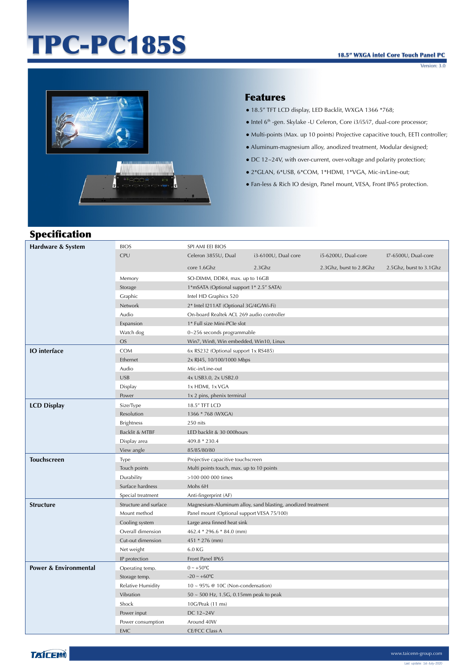# TPC-PC185S

Version: 3.0



#### Features

- 18.5" TFT LCD display, LED Backlit, WXGA 1366 \*768;
- Intel 6th -gen. Skylake -U Celeron, Core i3/i5/i7, dual-core processor;
- Multi-points (Max. up 10 points) Projective capacitive touch, EETI controller;
- Aluminum-magnesium alloy, anodized treatment, Modular designed;
- DC 12~24V, with over-current, over-voltage and polarity protection;
- 2\*GLAN, 6\*USB, 6\*COM, 1\*HDMI, 1\*VGA, Mic-in/Line-out;
- Fan-less & Rich IO design, Panel mount, VESA, Front IP65 protection.

# Specification

| Hardware & System                | <b>BIOS</b>              | SPI AMI EEI BIOS                           |                                                             |                         |                           |
|----------------------------------|--------------------------|--------------------------------------------|-------------------------------------------------------------|-------------------------|---------------------------|
|                                  | <b>CPU</b>               | Celeron 3855U, Dual                        | i3-6100U, Dual core                                         | i5-6200U, Dual-core     | I7-6500U, Dual-core       |
|                                  |                          | core 1.6Ghz                                | $2.3$ Ghz                                                   | 2.3Ghz, burst to 2.8Ghz | 2.5 Ghz, burst to 3.1 Ghz |
|                                  | Memory                   | SO-DIMM, DDR4, max. up to 16GB             |                                                             |                         |                           |
|                                  | Storage                  | 1*mSATA (Optional support 1* 2.5" SATA)    |                                                             |                         |                           |
|                                  | Graphic                  | Intel HD Graphics 520                      |                                                             |                         |                           |
|                                  | Network                  | 2* Intel I211AT (Optional 3G/4G/Wi-Fi)     |                                                             |                         |                           |
|                                  | Audio                    | On-board Realtek ACL 269 audio controller  |                                                             |                         |                           |
|                                  | Expansion                | 1* Full size Mini-PCIe slot                |                                                             |                         |                           |
|                                  | Watch dog                | 0~256 seconds programmable                 |                                                             |                         |                           |
|                                  | <b>OS</b>                | Win7, Win8, Win embedded, Win10, Linux     |                                                             |                         |                           |
| <b>IO</b> interface              | <b>COM</b>               | 6x RS232 (Optional support 1x RS485)       |                                                             |                         |                           |
|                                  | Ethernet                 | 2x RJ45, 10/100/1000 Mbps                  |                                                             |                         |                           |
|                                  | Audio                    | Mic-in/Line-out                            |                                                             |                         |                           |
|                                  | <b>USB</b>               | 4x USB3.0, 2x USB2.0                       |                                                             |                         |                           |
|                                  | Display                  | 1x HDMI, 1x VGA                            |                                                             |                         |                           |
|                                  | Power                    | 1x 2 pins, phenix terminal                 |                                                             |                         |                           |
| <b>LCD Display</b>               | Size/Type                | 18.5" TFT LCD                              |                                                             |                         |                           |
|                                  | Resolution               | 1366 * 768 (WXGA)                          |                                                             |                         |                           |
|                                  | <b>Brightness</b>        | 250 nits                                   |                                                             |                         |                           |
|                                  | Backlit & MTBF           | LED backlit & 30 000hours                  |                                                             |                         |                           |
|                                  | Display area             | 409.8 * 230.4                              |                                                             |                         |                           |
|                                  | View angle               | 85/85/80/80                                |                                                             |                         |                           |
| <b>Touchscreen</b>               | Type                     | Projective capacitive touchscreen          |                                                             |                         |                           |
|                                  | Touch points             | Multi points touch, max. up to 10 points   |                                                             |                         |                           |
|                                  | Durability               | >100 000 000 times                         |                                                             |                         |                           |
|                                  | Surface hardness         | Mohs 6H                                    |                                                             |                         |                           |
|                                  | Special treatment        | Anti-fingerprint (AF)                      |                                                             |                         |                           |
| <b>Structure</b>                 | Structure and surface    |                                            | Magnesium-Aluminum alloy, sand blasting, anodized treatment |                         |                           |
|                                  | Mount method             | Panel mount (Optional support VESA 75/100) |                                                             |                         |                           |
|                                  | Cooling system           | Large area finned heat sink                |                                                             |                         |                           |
|                                  | Overall dimension        | 462.4 * 296.6 * 84.0 (mm)                  |                                                             |                         |                           |
|                                  | Cut-out dimension        | 451 * 276 (mm)                             |                                                             |                         |                           |
|                                  | Net weight               | 6.0 KG                                     |                                                             |                         |                           |
|                                  | IP protection            | Front Panel IP65                           |                                                             |                         |                           |
| <b>Power &amp; Environmental</b> | Operating temp.          | $0 \sim +50$ °C                            |                                                             |                         |                           |
|                                  | Storage temp.            | $-20 - +60$ °C                             |                                                             |                         |                           |
|                                  | <b>Relative Humidity</b> | 10 ~ 95% @ 10C (Non-condensation)          |                                                             |                         |                           |
|                                  | Vibration                | 50 ~ 500 Hz, 1.5G, 0.15mm peak to peak     |                                                             |                         |                           |
|                                  | Shock                    | 10G/Peak (11 ms)                           |                                                             |                         |                           |
|                                  | Power input              | DC 12~24V                                  |                                                             |                         |                           |
|                                  | Power consumption        | Around 40W                                 |                                                             |                         |                           |
|                                  | <b>EMC</b>               | <b>CE/FCC Class A</b>                      |                                                             |                         |                           |